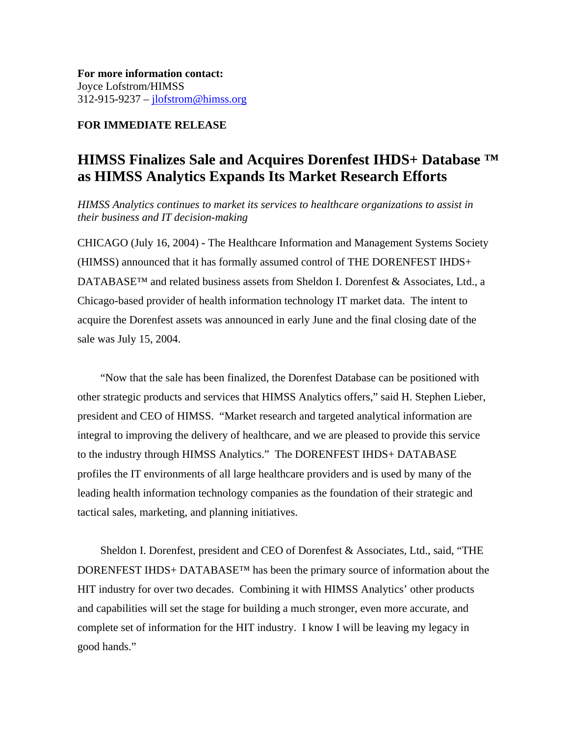**For more information contact:** Joyce Lofstrom/HIMSS 312-915-9237 – jlofstrom@himss.org

## **FOR IMMEDIATE RELEASE**

# **HIMSS Finalizes Sale and Acquires Dorenfest IHDS+ Database ™ as HIMSS Analytics Expands Its Market Research Efforts**

*HIMSS Analytics continues to market its services to healthcare organizations to assist in their business and IT decision-making*

CHICAGO (July 16, 2004) **-** The Healthcare Information and Management Systems Society (HIMSS) announced that it has formally assumed control of THE DORENFEST IHDS+ DATABASE™ and related business assets from Sheldon I. Dorenfest & Associates, Ltd., a Chicago-based provider of health information technology IT market data. The intent to acquire the Dorenfest assets was announced in early June and the final closing date of the sale was July 15, 2004.

"Now that the sale has been finalized, the Dorenfest Database can be positioned with other strategic products and services that HIMSS Analytics offers," said H. Stephen Lieber, president and CEO of HIMSS. "Market research and targeted analytical information are integral to improving the delivery of healthcare, and we are pleased to provide this service to the industry through HIMSS Analytics." The DORENFEST IHDS+ DATABASE profiles the IT environments of all large healthcare providers and is used by many of the leading health information technology companies as the foundation of their strategic and tactical sales, marketing, and planning initiatives.

Sheldon I. Dorenfest, president and CEO of Dorenfest & Associates, Ltd., said, "THE DORENFEST IHDS+ DATABASE™ has been the primary source of information about the HIT industry for over two decades. Combining it with HIMSS Analytics' other products and capabilities will set the stage for building a much stronger, even more accurate, and complete set of information for the HIT industry. I know I will be leaving my legacy in good hands."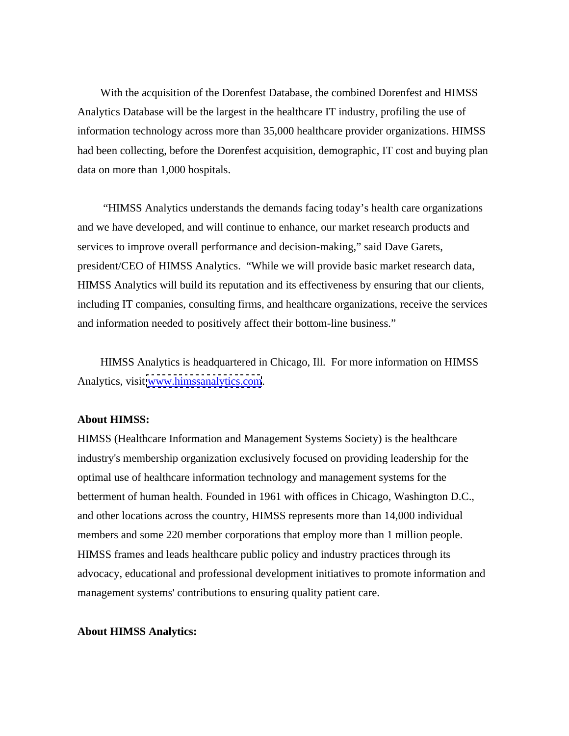With the acquisition of the Dorenfest Database, the combined Dorenfest and HIMSS Analytics Database will be the largest in the healthcare IT industry, profiling the use of information technology across more than 35,000 healthcare provider organizations. HIMSS had been collecting, before the Dorenfest acquisition, demographic, IT cost and buying plan data on more than 1,000 hospitals.

 "HIMSS Analytics understands the demands facing today's health care organizations and we have developed, and will continue to enhance, our market research products and services to improve overall performance and decision-making," said Dave Garets, president/CEO of HIMSS Analytics. "While we will provide basic market research data, HIMSS Analytics will build its reputation and its effectiveness by ensuring that our clients, including IT companies, consulting firms, and healthcare organizations, receive the services and information needed to positively affect their bottom-line business."

HIMSS Analytics is headquartered in Chicago, Ill. For more information on HIMSS Analytics, visit [www.himssanalytics.com](http://www.himssanalytics.com).

# **About HIMSS:**

HIMSS (Healthcare Information and Management Systems Society) is the healthcare industry's membership organization exclusively focused on providing leadership for the optimal use of healthcare information technology and management systems for the betterment of human health. Founded in 1961 with offices in Chicago, Washington D.C., and other locations across the country, HIMSS represents more than 14,000 individual members and some 220 member corporations that employ more than 1 million people. HIMSS frames and leads healthcare public policy and industry practices through its advocacy, educational and professional development initiatives to promote information and management systems' contributions to ensuring quality patient care.

### **About HIMSS Analytics:**